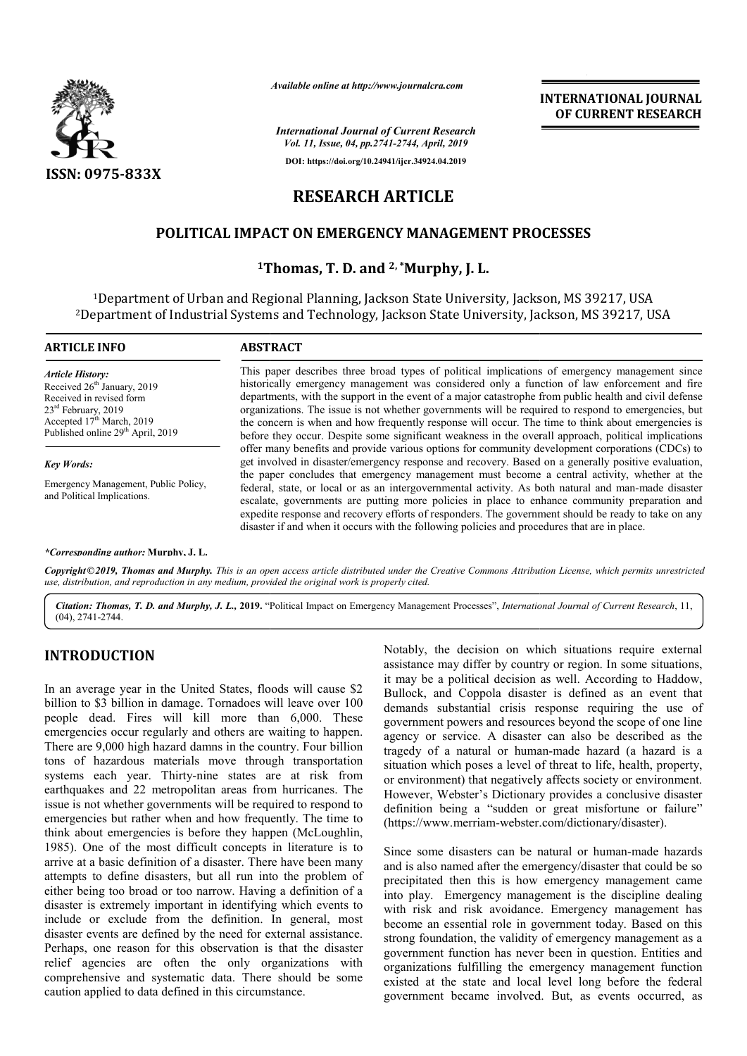

*Available online at http://www.journalcra.com*

# **RESEARCH ARTICLE**

#### **POLITICAL IMPACT ON EMERGENCY MANAGEMENT PROCESSES**

## **1Thomas, T. D. and Thomas, 2, \*Murphy, J. L.**

|                                                                                                                                                                                                                                                                                                                                                                                                                                                                                                                                                                                                                                                                                                                                                                                                                                                                                                                                                                                                                                                                                                                                                                                                                                                                                                                                                                                                      |                                                                                                                                                                                                                                                                                                                                                                                                                                                                                                                                                                                                                               | <b>INTERNATIONAL JOURNAL</b><br>OF CURRENT RESEARCH                                                                                                                                                                                                                                                                                                                                                                                                                                                                                                                                                                                                                                                              |  |
|------------------------------------------------------------------------------------------------------------------------------------------------------------------------------------------------------------------------------------------------------------------------------------------------------------------------------------------------------------------------------------------------------------------------------------------------------------------------------------------------------------------------------------------------------------------------------------------------------------------------------------------------------------------------------------------------------------------------------------------------------------------------------------------------------------------------------------------------------------------------------------------------------------------------------------------------------------------------------------------------------------------------------------------------------------------------------------------------------------------------------------------------------------------------------------------------------------------------------------------------------------------------------------------------------------------------------------------------------------------------------------------------------|-------------------------------------------------------------------------------------------------------------------------------------------------------------------------------------------------------------------------------------------------------------------------------------------------------------------------------------------------------------------------------------------------------------------------------------------------------------------------------------------------------------------------------------------------------------------------------------------------------------------------------|------------------------------------------------------------------------------------------------------------------------------------------------------------------------------------------------------------------------------------------------------------------------------------------------------------------------------------------------------------------------------------------------------------------------------------------------------------------------------------------------------------------------------------------------------------------------------------------------------------------------------------------------------------------------------------------------------------------|--|
|                                                                                                                                                                                                                                                                                                                                                                                                                                                                                                                                                                                                                                                                                                                                                                                                                                                                                                                                                                                                                                                                                                                                                                                                                                                                                                                                                                                                      |                                                                                                                                                                                                                                                                                                                                                                                                                                                                                                                                                                                                                               | <b>International Journal of Current Research</b><br>Vol. 11, Issue, 04, pp.2741-2744, April, 2019                                                                                                                                                                                                                                                                                                                                                                                                                                                                                                                                                                                                                |  |
|                                                                                                                                                                                                                                                                                                                                                                                                                                                                                                                                                                                                                                                                                                                                                                                                                                                                                                                                                                                                                                                                                                                                                                                                                                                                                                                                                                                                      |                                                                                                                                                                                                                                                                                                                                                                                                                                                                                                                                                                                                                               | DOI: https://doi.org/10.24941/ijcr.34924.04.2019                                                                                                                                                                                                                                                                                                                                                                                                                                                                                                                                                                                                                                                                 |  |
| <b>ISSN: 0975-833X</b>                                                                                                                                                                                                                                                                                                                                                                                                                                                                                                                                                                                                                                                                                                                                                                                                                                                                                                                                                                                                                                                                                                                                                                                                                                                                                                                                                                               |                                                                                                                                                                                                                                                                                                                                                                                                                                                                                                                                                                                                                               |                                                                                                                                                                                                                                                                                                                                                                                                                                                                                                                                                                                                                                                                                                                  |  |
|                                                                                                                                                                                                                                                                                                                                                                                                                                                                                                                                                                                                                                                                                                                                                                                                                                                                                                                                                                                                                                                                                                                                                                                                                                                                                                                                                                                                      |                                                                                                                                                                                                                                                                                                                                                                                                                                                                                                                                                                                                                               | <b>RESEARCH ARTICLE</b>                                                                                                                                                                                                                                                                                                                                                                                                                                                                                                                                                                                                                                                                                          |  |
|                                                                                                                                                                                                                                                                                                                                                                                                                                                                                                                                                                                                                                                                                                                                                                                                                                                                                                                                                                                                                                                                                                                                                                                                                                                                                                                                                                                                      |                                                                                                                                                                                                                                                                                                                                                                                                                                                                                                                                                                                                                               | <b>POLITICAL IMPACT ON EMERGENCY MANAGEMENT PROCESSES</b>                                                                                                                                                                                                                                                                                                                                                                                                                                                                                                                                                                                                                                                        |  |
|                                                                                                                                                                                                                                                                                                                                                                                                                                                                                                                                                                                                                                                                                                                                                                                                                                                                                                                                                                                                                                                                                                                                                                                                                                                                                                                                                                                                      |                                                                                                                                                                                                                                                                                                                                                                                                                                                                                                                                                                                                                               |                                                                                                                                                                                                                                                                                                                                                                                                                                                                                                                                                                                                                                                                                                                  |  |
|                                                                                                                                                                                                                                                                                                                                                                                                                                                                                                                                                                                                                                                                                                                                                                                                                                                                                                                                                                                                                                                                                                                                                                                                                                                                                                                                                                                                      |                                                                                                                                                                                                                                                                                                                                                                                                                                                                                                                                                                                                                               | <sup>1</sup> Thomas, T. D. and $2,$ *Murphy, J. L.                                                                                                                                                                                                                                                                                                                                                                                                                                                                                                                                                                                                                                                               |  |
|                                                                                                                                                                                                                                                                                                                                                                                                                                                                                                                                                                                                                                                                                                                                                                                                                                                                                                                                                                                                                                                                                                                                                                                                                                                                                                                                                                                                      |                                                                                                                                                                                                                                                                                                                                                                                                                                                                                                                                                                                                                               | <sup>1</sup> Department of Urban and Regional Planning, Jackson State University, Jackson, MS 39217, USA<br><sup>2</sup> Department of Industrial Systems and Technology, Jackson State University, Jackson, MS 39217, USA                                                                                                                                                                                                                                                                                                                                                                                                                                                                                       |  |
| <b>ARTICLE INFO</b>                                                                                                                                                                                                                                                                                                                                                                                                                                                                                                                                                                                                                                                                                                                                                                                                                                                                                                                                                                                                                                                                                                                                                                                                                                                                                                                                                                                  | <b>ABSTRACT</b>                                                                                                                                                                                                                                                                                                                                                                                                                                                                                                                                                                                                               |                                                                                                                                                                                                                                                                                                                                                                                                                                                                                                                                                                                                                                                                                                                  |  |
| <b>Article History:</b><br>Received 26 <sup>th</sup> January, 2019<br>Received in revised form<br>23rd February, 2019<br>Accepted 17th March, 2019<br>Published online 29 <sup>th</sup> April, 2019                                                                                                                                                                                                                                                                                                                                                                                                                                                                                                                                                                                                                                                                                                                                                                                                                                                                                                                                                                                                                                                                                                                                                                                                  | This paper describes three broad types of political implications of emergency management since<br>historically emergency management was considered only a function of law enforcement and fire<br>departments, with the support in the event of a major catastrophe from public health and civil defense<br>organizations. The issue is not whether governments will be required to respond to emergencies, but<br>the concern is when and how frequently response will occur. The time to think about emergencies is<br>before they occur. Despite some significant weakness in the overall approach, political implications |                                                                                                                                                                                                                                                                                                                                                                                                                                                                                                                                                                                                                                                                                                                  |  |
| <b>Key Words:</b>                                                                                                                                                                                                                                                                                                                                                                                                                                                                                                                                                                                                                                                                                                                                                                                                                                                                                                                                                                                                                                                                                                                                                                                                                                                                                                                                                                                    |                                                                                                                                                                                                                                                                                                                                                                                                                                                                                                                                                                                                                               | offer many benefits and provide various options for community development corporations (CDCs) to<br>get involved in disaster/emergency response and recovery. Based on a generally positive evaluation,                                                                                                                                                                                                                                                                                                                                                                                                                                                                                                          |  |
| Emergency Management, Public Policy,<br>and Political Implications.                                                                                                                                                                                                                                                                                                                                                                                                                                                                                                                                                                                                                                                                                                                                                                                                                                                                                                                                                                                                                                                                                                                                                                                                                                                                                                                                  |                                                                                                                                                                                                                                                                                                                                                                                                                                                                                                                                                                                                                               | the paper concludes that emergency management must become a central activity, whether at the<br>federal, state, or local or as an intergovernmental activity. As both natural and man-made disaster<br>escalate, governments are putting more policies in place to enhance community preparation and<br>expedite response and recovery efforts of responders. The government should be ready to take on any<br>disaster if and when it occurs with the following policies and procedures that are in place.                                                                                                                                                                                                      |  |
| *Corresponding author: Murphy. J. L.                                                                                                                                                                                                                                                                                                                                                                                                                                                                                                                                                                                                                                                                                                                                                                                                                                                                                                                                                                                                                                                                                                                                                                                                                                                                                                                                                                 |                                                                                                                                                                                                                                                                                                                                                                                                                                                                                                                                                                                                                               |                                                                                                                                                                                                                                                                                                                                                                                                                                                                                                                                                                                                                                                                                                                  |  |
| use, distribution, and reproduction in any medium, provided the original work is properly cited.                                                                                                                                                                                                                                                                                                                                                                                                                                                                                                                                                                                                                                                                                                                                                                                                                                                                                                                                                                                                                                                                                                                                                                                                                                                                                                     |                                                                                                                                                                                                                                                                                                                                                                                                                                                                                                                                                                                                                               | Copyright©2019, Thomas and Murphy. This is an open access article distributed under the Creative Commons Attribution License, which permits unrestricted                                                                                                                                                                                                                                                                                                                                                                                                                                                                                                                                                         |  |
| $(04)$ , 2741-2744.                                                                                                                                                                                                                                                                                                                                                                                                                                                                                                                                                                                                                                                                                                                                                                                                                                                                                                                                                                                                                                                                                                                                                                                                                                                                                                                                                                                  |                                                                                                                                                                                                                                                                                                                                                                                                                                                                                                                                                                                                                               | Citation: Thomas, T. D. and Murphy, J. L., 2019. "Political Impact on Emergency Management Processes", International Journal of Current Research, 11,                                                                                                                                                                                                                                                                                                                                                                                                                                                                                                                                                            |  |
| <b>INTRODUCTION</b><br>In an average year in the United States, floods will cause \$2<br>billion to \$3 billion in damage. Tornadoes will leave over 100<br>people dead. Fires will kill more than 6,000. These<br>emergencies occur regularly and others are waiting to happen.<br>There are 9,000 high hazard damns in the country. Four billion<br>tons of hazardous materials move through transportation<br>systems each year. Thirty-nine states are at risk from<br>earthquakes and 22 metropolitan areas from hurricanes. The<br>issue is not whether governments will be required to respond to<br>emergencies but rather when and how frequently. The time to<br>think about emergencies is before they happen (McLoughlin,<br>1985). One of the most difficult concepts in literature is to<br>arrive at a basic definition of a disaster. There have been many<br>attempts to define disasters, but all run into the problem of<br>either being too broad or too narrow. Having a definition of a<br>disaster is extremely important in identifying which events to<br>include or exclude from the definition. In general, most<br>disaster events are defined by the need for external assistance.<br>Perhaps, one reason for this observation is that the disaster<br>relief agencies are often the only organizations with<br>comprehensive and systematic data. There should be some |                                                                                                                                                                                                                                                                                                                                                                                                                                                                                                                                                                                                                               | Notably, the decision on which situations require external<br>assistance may differ by country or region. In some situations,                                                                                                                                                                                                                                                                                                                                                                                                                                                                                                                                                                                    |  |
|                                                                                                                                                                                                                                                                                                                                                                                                                                                                                                                                                                                                                                                                                                                                                                                                                                                                                                                                                                                                                                                                                                                                                                                                                                                                                                                                                                                                      |                                                                                                                                                                                                                                                                                                                                                                                                                                                                                                                                                                                                                               | it may be a political decision as well. According to Haddow,<br>Bullock, and Coppola disaster is defined as an event that<br>demands substantial crisis response requiring the use of<br>government powers and resources beyond the scope of one line<br>agency or service. A disaster can also be described as the<br>tragedy of a natural or human-made hazard (a hazard is a<br>situation which poses a level of threat to life, health, property,<br>or environment) that negatively affects society or environment.<br>However, Webster's Dictionary provides a conclusive disaster<br>definition being a "sudden or great misfortune or failure"<br>(https://www.merriam-webster.com/dictionary/disaster). |  |
|                                                                                                                                                                                                                                                                                                                                                                                                                                                                                                                                                                                                                                                                                                                                                                                                                                                                                                                                                                                                                                                                                                                                                                                                                                                                                                                                                                                                      |                                                                                                                                                                                                                                                                                                                                                                                                                                                                                                                                                                                                                               | Since some disasters can be natural or human-made hazards<br>and is also named after the emergency/disaster that could be so<br>precipitated then this is how emergency management came<br>into play. Emergency management is the discipline dealing<br>with risk and risk avoidance. Emergency management has<br>become an essential role in government today. Based on this<br>strong foundation, the validity of emergency management as a<br>government function has never been in question. Entities and<br>organizations fulfilling the emergency management function<br>existed at the state and local level long before the federal                                                                      |  |

## **INTRODUCTION**

Since some disasters can be natural or human-made hazards and is also named after the emergency/disaster that could be so and is also named after the emergency/disaster that could be so<br>precipitated then this is how emergency management came into play. Emergency management is the discipline dealing with risk and risk avoidance. Emergency management has become an essential role in government today. Based on this strong foundation, the validity of emergency management as a government function has never been in question. Entities and organizations fulfilling the emergency management function existed at the state and local level long before the federal government became involved. But, as events occurred, as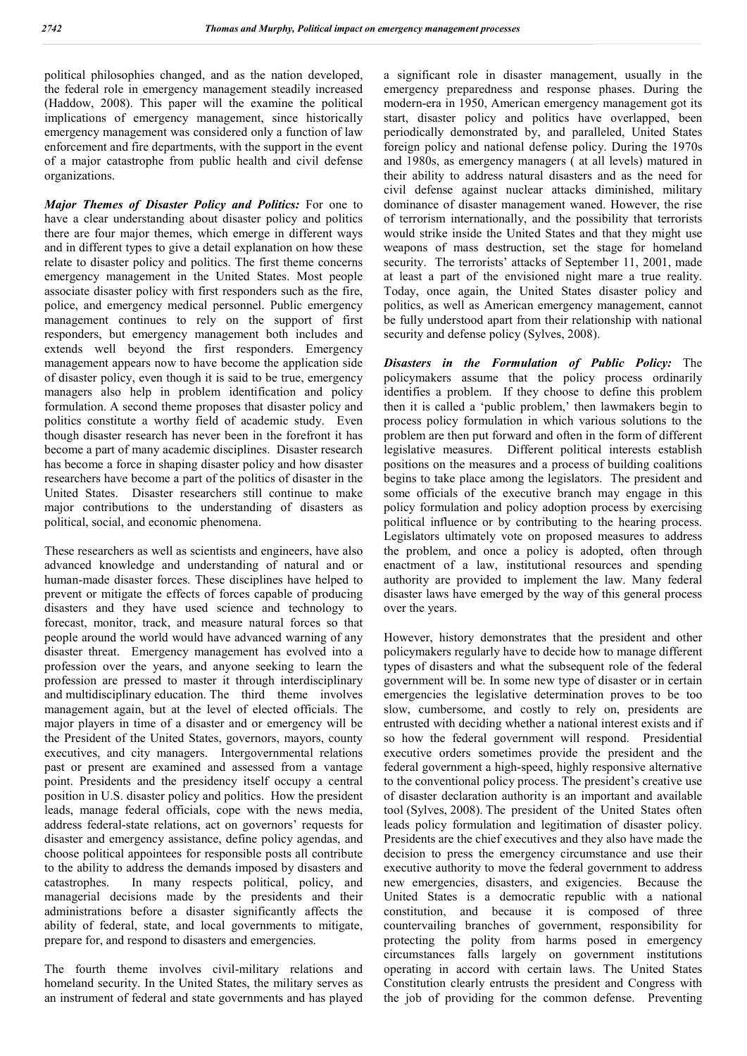political philosophies changed, and as the nation developed, the federal role in emergency management steadily increased (Haddow, 2008). This paper will the examine the political implications of emergency management, since historically emergency management was considered only a function of law enforcement and fire departments, with the support in the event of a major catastrophe from public health and civil defense organizations.

*Major Themes of Disaster Policy and Politics:* For one to have a clear understanding about disaster policy and politics there are four major themes, which emerge in different ways and in different types to give a detail explanation on how these relate to disaster policy and politics. The first theme concerns emergency management in the United States. Most people associate disaster policy with first responders such as the fire, police, and emergency medical personnel. Public emergency management continues to rely on the support of first responders, but emergency management both includes and extends well beyond the first responders. Emergency management appears now to have become the application side of disaster policy, even though it is said to be true, emergency managers also help in problem identification and policy formulation. A second theme proposes that disaster policy and politics constitute a worthy field of academic study. Even though disaster research has never been in the forefront it has become a part of many academic disciplines. Disaster research has become a force in shaping disaster policy and how disaster researchers have become a part of the politics of disaster in the United States. Disaster researchers still continue to make major contributions to the understanding of disasters as political, social, and economic phenomena.

These researchers as well as scientists and engineers, have also advanced knowledge and understanding of natural and or human-made disaster forces. These disciplines have helped to prevent or mitigate the effects of forces capable of producing disasters and they have used science and technology to forecast, monitor, track, and measure natural forces so that people around the world would have advanced warning of any disaster threat. Emergency management has evolved into a profession over the years, and anyone seeking to learn the profession are pressed to master it through interdisciplinary and multidisciplinary education. The third theme involves management again, but at the level of elected officials. The major players in time of a disaster and or emergency will be the President of the United States, governors, mayors, county executives, and city managers. Intergovernmental relations past or present are examined and assessed from a vantage point. Presidents and the presidency itself occupy a central position in U.S. disaster policy and politics. How the president leads, manage federal officials, cope with the news media, address federal-state relations, act on governors' requests for disaster and emergency assistance, define policy agendas, and choose political appointees for responsible posts all contribute to the ability to address the demands imposed by disasters and catastrophes. In many respects political, policy, and managerial decisions made by the presidents and their administrations before a disaster significantly affects the ability of federal, state, and local governments to mitigate, prepare for, and respond to disasters and emergencies.

The fourth theme involves civil-military relations and homeland security. In the United States, the military serves as an instrument of federal and state governments and has played

a significant role in disaster management, usually in the emergency preparedness and response phases. During the modern-era in 1950, American emergency management got its start, disaster policy and politics have overlapped, been periodically demonstrated by, and paralleled, United States foreign policy and national defense policy. During the 1970s and 1980s, as emergency managers ( at all levels) matured in their ability to address natural disasters and as the need for civil defense against nuclear attacks diminished, military dominance of disaster management waned. However, the rise of terrorism internationally, and the possibility that terrorists would strike inside the United States and that they might use weapons of mass destruction, set the stage for homeland security. The terrorists' attacks of September 11, 2001, made at least a part of the envisioned night mare a true reality. Today, once again, the United States disaster policy and politics, as well as American emergency management, cannot be fully understood apart from their relationship with national security and defense policy (Sylves, 2008).

*Disasters in the Formulation of Public Policy:* The policymakers assume that the policy process ordinarily identifies a problem. If they choose to define this problem then it is called a 'public problem,' then lawmakers begin to process policy formulation in which various solutions to the problem are then put forward and often in the form of different legislative measures. Different political interests establish positions on the measures and a process of building coalitions begins to take place among the legislators. The president and some officials of the executive branch may engage in this policy formulation and policy adoption process by exercising political influence or by contributing to the hearing process. Legislators ultimately vote on proposed measures to address the problem, and once a policy is adopted, often through enactment of a law, institutional resources and spending authority are provided to implement the law. Many federal disaster laws have emerged by the way of this general process over the years.

However, history demonstrates that the president and other policymakers regularly have to decide how to manage different types of disasters and what the subsequent role of the federal government will be. In some new type of disaster or in certain emergencies the legislative determination proves to be too slow, cumbersome, and costly to rely on, presidents are entrusted with deciding whether a national interest exists and if so how the federal government will respond. Presidential executive orders sometimes provide the president and the federal government a high-speed, highly responsive alternative to the conventional policy process. The president's creative use of disaster declaration authority is an important and available tool (Sylves, 2008). The president of the United States often leads policy formulation and legitimation of disaster policy. Presidents are the chief executives and they also have made the decision to press the emergency circumstance and use their executive authority to move the federal government to address new emergencies, disasters, and exigencies. Because the United States is a democratic republic with a national constitution, and because it is composed of three countervailing branches of government, responsibility for protecting the polity from harms posed in emergency circumstances falls largely on government institutions operating in accord with certain laws. The United States Constitution clearly entrusts the president and Congress with the job of providing for the common defense. Preventing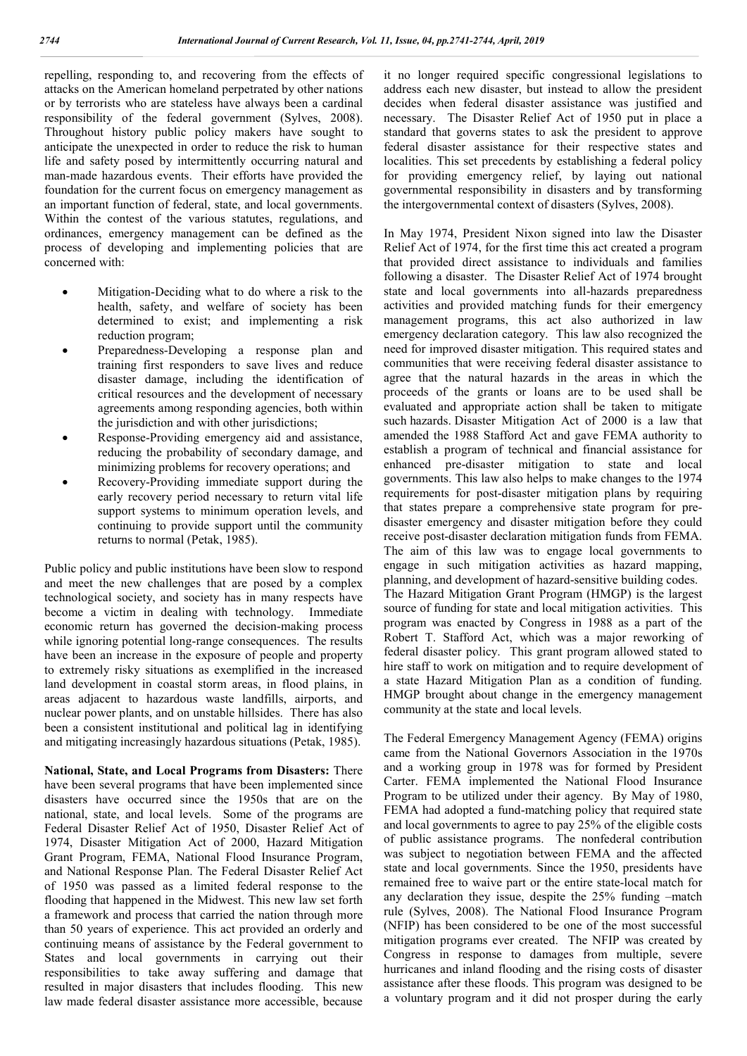repelling, responding to, and recovering from the effects of attacks on the American homeland perpetrated by other nations or by terrorists who are stateless have always been a cardinal responsibility of the federal government (Sylves, 2008). Throughout history public policy makers have sought to anticipate the unexpected in order to reduce the risk to human life and safety posed by intermittently occurring natural and man-made hazardous events. Their efforts have provided the foundation for the current focus on emergency management as an important function of federal, state, and local governments. Within the contest of the various statutes, regulations, and ordinances, emergency management can be defined as the process of developing and implementing policies that are concerned with:

- Mitigation-Deciding what to do where a risk to the health, safety, and welfare of society has been determined to exist; and implementing a risk reduction program;
- Preparedness-Developing a response plan and training first responders to save lives and reduce disaster damage, including the identification of critical resources and the development of necessary agreements among responding agencies, both within the jurisdiction and with other jurisdictions;
- Response-Providing emergency aid and assistance, reducing the probability of secondary damage, and minimizing problems for recovery operations; and
- Recovery-Providing immediate support during the early recovery period necessary to return vital life support systems to minimum operation levels, and continuing to provide support until the community returns to normal (Petak, 1985).

Public policy and public institutions have been slow to respond and meet the new challenges that are posed by a complex technological society, and society has in many respects have become a victim in dealing with technology. Immediate economic return has governed the decision-making process while ignoring potential long-range consequences. The results have been an increase in the exposure of people and property to extremely risky situations as exemplified in the increased land development in coastal storm areas, in flood plains, in areas adjacent to hazardous waste landfills, airports, and nuclear power plants, and on unstable hillsides. There has also been a consistent institutional and political lag in identifying and mitigating increasingly hazardous situations (Petak, 1985).

**National, State, and Local Programs from Disasters:** There have been several programs that have been implemented since disasters have occurred since the 1950s that are on the national, state, and local levels. Some of the programs are Federal Disaster Relief Act of 1950, Disaster Relief Act of 1974, Disaster Mitigation Act of 2000, Hazard Mitigation Grant Program, FEMA, National Flood Insurance Program, and National Response Plan. The Federal Disaster Relief Act of 1950 was passed as a limited federal response to the flooding that happened in the Midwest. This new law set forth a framework and process that carried the nation through more than 50 years of experience. This act provided an orderly and continuing means of assistance by the Federal government to States and local governments in carrying out their responsibilities to take away suffering and damage that resulted in major disasters that includes flooding. This new law made federal disaster assistance more accessible, because

it no longer required specific congressional legislations to address each new disaster, but instead to allow the president decides when federal disaster assistance was justified and necessary. The Disaster Relief Act of 1950 put in place a standard that governs states to ask the president to approve federal disaster assistance for their respective states and localities. This set precedents by establishing a federal policy for providing emergency relief, by laying out national governmental responsibility in disasters and by transforming the intergovernmental context of disasters (Sylves, 2008).

In May 1974, President Nixon signed into law the Disaster Relief Act of 1974, for the first time this act created a program that provided direct assistance to individuals and families following a disaster. The Disaster Relief Act of 1974 brought state and local governments into all-hazards preparedness activities and provided matching funds for their emergency management programs, this act also authorized in law emergency declaration category. This law also recognized the need for improved disaster mitigation. This required states and communities that were receiving federal disaster assistance to agree that the natural hazards in the areas in which the proceeds of the grants or loans are to be used shall be evaluated and appropriate action shall be taken to mitigate such hazards. Disaster Mitigation Act of 2000 is a law that amended the 1988 Stafford Act and gave FEMA authority to establish a program of technical and financial assistance for enhanced pre-disaster mitigation to state and local governments. This law also helps to make changes to the 1974 requirements for post-disaster mitigation plans by requiring that states prepare a comprehensive state program for predisaster emergency and disaster mitigation before they could receive post-disaster declaration mitigation funds from FEMA. The aim of this law was to engage local governments to engage in such mitigation activities as hazard mapping, planning, and development of hazard-sensitive building codes. The Hazard Mitigation Grant Program (HMGP) is the largest source of funding for state and local mitigation activities. This program was enacted by Congress in 1988 as a part of the Robert T. Stafford Act, which was a major reworking of federal disaster policy. This grant program allowed stated to hire staff to work on mitigation and to require development of a state Hazard Mitigation Plan as a condition of funding. HMGP brought about change in the emergency management community at the state and local levels.

The Federal Emergency Management Agency (FEMA) origins came from the National Governors Association in the 1970s and a working group in 1978 was for formed by President Carter. FEMA implemented the National Flood Insurance Program to be utilized under their agency. By May of 1980, FEMA had adopted a fund-matching policy that required state and local governments to agree to pay 25% of the eligible costs of public assistance programs. The nonfederal contribution was subject to negotiation between FEMA and the affected state and local governments. Since the 1950, presidents have remained free to waive part or the entire state-local match for any declaration they issue, despite the 25% funding –match rule (Sylves, 2008). The National Flood Insurance Program (NFIP) has been considered to be one of the most successful mitigation programs ever created. The NFIP was created by Congress in response to damages from multiple, severe hurricanes and inland flooding and the rising costs of disaster assistance after these floods. This program was designed to be a voluntary program and it did not prosper during the early